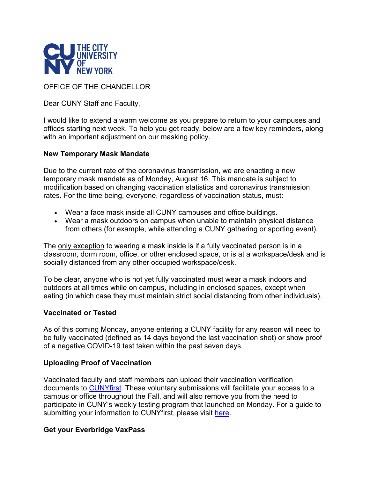

OFFICE OF THE CHANCELLOR

Dear CUNY Staff and Faculty,

I would like to extend a warm welcome as you prepare to return to your campuses and offices starting next week. To help you get ready, below are a few key reminders, along with an important adjustment on our masking policy.

## **New Temporary Mask Mandate**

Due to the current rate of the coronavirus transmission, we are enacting a new temporary mask mandate as of Monday, August 16. This mandate is subject to modification based on changing vaccination statistics and coronavirus transmission rates. For the time being, everyone, regardless of vaccination status, must:

- Wear a face mask inside all CUNY campuses and office buildings.
- Wear a mask outdoors on campus when unable to maintain physical distance from others (for example, while attending a CUNY gathering or sporting event).

The only exception to wearing a mask inside is if a fully vaccinated person is in a classroom, dorm room, office, or other enclosed space, or is at a workspace/desk and is socially distanced from any other occupied workspace/desk.

To be clear, anyone who is not yet fully vaccinated must wear a mask indoors and outdoors at all times while on campus, including in enclosed spaces, except when eating (in which case they must maintain strict social distancing from other individuals).

### **Vaccinated or Tested**

As of this coming Monday, anyone entering a CUNY facility for any reason will need to be fully vaccinated (defined as 14 days beyond the last vaccination shot) or show proof of a negative COVID-19 test taken within the past seven days.

### **Uploading Proof of Vaccination**

Vaccinated faculty and staff members can upload their vaccination verification documents to [CUNYfirst.](https://maestro.cuny.edu/trk/click?ref=zqtbwp23f_2-1uc942a-0-21f2x38552x0T2d2mcAj2U&) These voluntary submissions will facilitate your access to a campus or office throughout the Fall, and will also remove you from the need to participate in CUNY's weekly testing program that launched on Monday. For a guide to submitting your information to CUNYfirst, please visit [here.](https://maestro.cuny.edu/trk/click?ref=zqtbwp23f_2-1uc942a-0-21f2x38587x0T2d2mcAj2U&)

# **Get your Everbridge VaxPass**